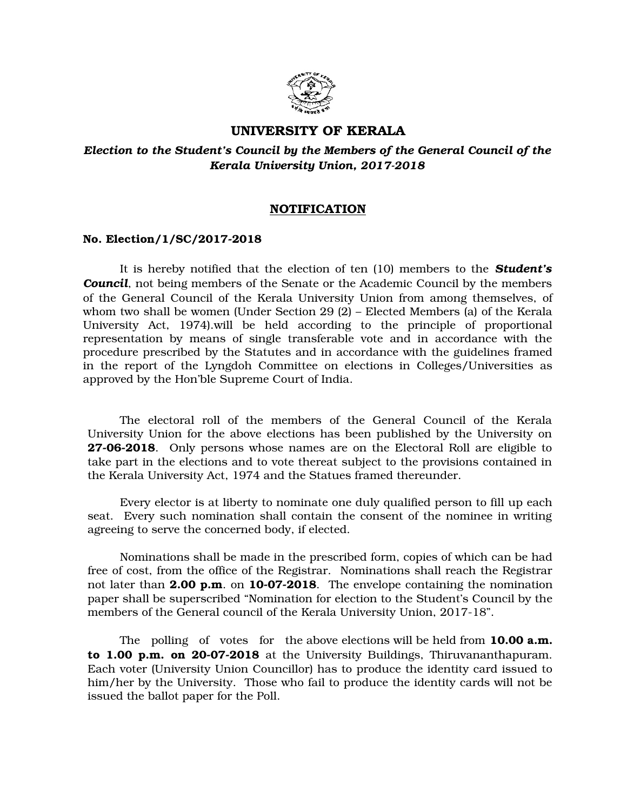

# **UNIVERSITY OF KERALA**

# *Election to the Student's Council by the Members of the General Council of the Kerala University Union, 2017-2018*

### **NOTIFICATION**

#### **No. Election/1/SC/2017-2018**

It is hereby notified that the election of ten (10) members to the *Student's Council*, not being members of the Senate or the Academic Council by the members of the General Council of the Kerala University Union from among themselves, of whom two shall be women (Under Section 29 (2) – Elected Members (a) of the Kerala University Act, 1974).will be held according to the principle of proportional representation by means of single transferable vote and in accordance with the procedure prescribed by the Statutes and in accordance with the guidelines framed in the report of the Lyngdoh Committee on elections in Colleges/Universities as approved by the Hon'ble Supreme Court of India.

The electoral roll of the members of the General Council of the Kerala University Union for the above elections has been published by the University on **27-06-2018.** Only persons whose names are on the Electoral Roll are eligible to take part in the elections and to vote thereat subject to the provisions contained in the Kerala University Act, 1974 and the Statues framed thereunder.

Every elector is at liberty to nominate one duly qualified person to fill up each seat. Every such nomination shall contain the consent of the nominee in writing agreeing to serve the concerned body, if elected.

Nominations shall be made in the prescribed form, copies of which can be had free of cost, from the office of the Registrar. Nominations shall reach the Registrar not later than **2.00 p.m.** on **10-07-2018**. The envelope containing the nomination paper shall be superscribed "Nomination for election to the Student's Council by the members of the General council of the Kerala University Union, 2017-18".

The polling of votes for the above elections will be held from **10.00 a.m. to 1.00 p.m. on 20-07-2018** at the University Buildings, Thiruvananthapuram. Each voter (University Union Councillor) has to produce the identity card issued to him/her by the University. Those who fail to produce the identity cards will not be issued the ballot paper for the Poll.